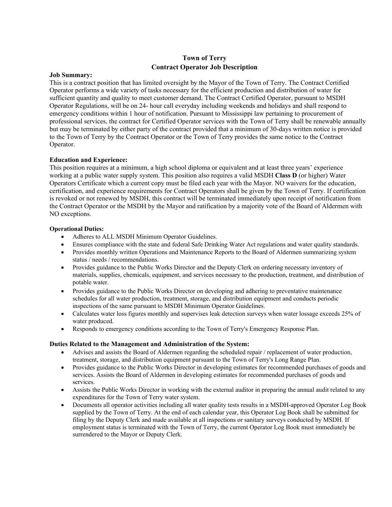## **Town of Terry Contract Operator Job Description**

#### **Job Summary:**

This is a contract position that has limited oversight by the Mayor of the Town of Terry. The Contract Certified Operator performs a wide variety of tasks necessary for the efficient production and distribution of water for sufficient quantity and quality to meet customer demand. The Contract Certified Operator, pursuant to MSDH Operator Regulations, will be on 24- hour call everyday including weekends and holidays and shall respond to emergency conditions within 1 hour of notification. Pursuant to Mississippi law pertaining to procurement of professional services, the contract for Certified Operator services with the Town of Terry shall be renewable annually but may be terminated by either party of the contract provided that a minimum of 30-days written notice is provided to the Town of Terry by the Contract Operator or the Town of Terry provides the same notice to the Contract Operator.

### **Education and Experience:**

This position requires at a minimum, a high school diploma or equivalent and at least three years' experience working at a public water supply system. This position also requires a valid MSDH **Class D** (or higher) Water Operators Certificate which a current copy must be filed each year with the Mayor. NO waivers for the education, certification, and experience requirements for Contract Operators shall be given by the Town of Terry. If certification is revoked or not renewed by MSDH, this contract will be terminated immediately upon receipt of notification from the Contract Operator or the MSDH by the Mayor and ratification by a majority vote of the Board of Aldermen with NO exceptions.

#### **Operational Duties:**

- Adheres to ALL MSDH Minimum Operator Guidelines.
- Ensures compliance with the state and federal Safe Drinking Water Act regulations and water quality standards.
- Provides monthly written Operations and Maintenance Reports to the Board of Aldermen summarizing system status / needs / recommendations.
- Provides guidance to the Public Works Director and the Deputy Clerk on ordering necessary inventory of materials, supplies, chemicals, equipment, and services necessary to the production, treatment, and distribution of potable water.
- Provides guidance to the Public Works Director on developing and adhering to preventative maintenance schedules for all water production, treatment, storage, and distribution equipment and conducts periodic inspections of the same pursuant to MSDH Minimum Operator Guidelines.
- Calculates water loss figures monthly and supervises leak detection surveys when water lossage exceeds 25% of water produced.
- Responds to emergency conditions according to the Town of Terry's Emergency Response Plan.

#### **Duties Related to the Management and Administration of the System:**

- Advises and assists the Board of Aldermen regarding the scheduled repair / replacement of water production, treatment, storage, and distribution equipment pursuant to the Town of Terry's Long Range Plan.
- Provides guidance to the Public Works Director in developing estimates for recommended purchases of goods and services. Assists the Board of Aldermen in developing estimates for recommended purchases of goods and services.
- Assists the Public Works Director in working with the external auditor in preparing the annual audit related to any expenditures for the Town of Terry water system.
- Documents all operator activities including all water quality tests results in a MSDH-approved Operator Log Book supplied by the Town of Terry. At the end of each calendar year, this Operator Log Book shall be submitted for filing by the Deputy Clerk and made available at all inspections or sanitary surveys conducted by MSDH. If employment status is terminated with the Town of Terry, the current Operator Log Book must immediately be surrendered to the Mayor or Deputy Clerk.